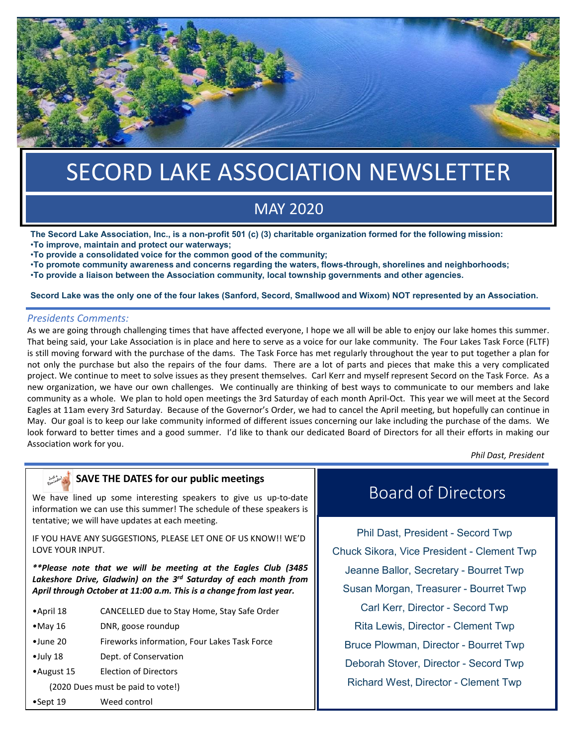

# SECORD LAKE ASSOCIATION NEWSLETTER SECORD LAKE ASSOCIATION NEWSLETTER

# $MAY 2020$ MAY 2020

The Secord Lake Association, Inc., is a non-profit 501 (c) (3) charitable organization formed for the following mission: •To improve, maintain and protect our waterways;

•To provide a consolidated voice for the common good of the community;

•To promote community awareness and concerns regarding the waters, flows-through, shorelines and neighborhoods;

•To provide a liaison between the Association community, local township governments and other agencies.

### Secord Lake was the only one of the four lakes (Sanford, Secord, Smallwood and Wixom) NOT represented by an Association.

## *Presidents Comments:*

As we are going through challenging times that have affected everyone, I hope we all will be able to enjoy our lake homes this summer. That being said, your Lake Association is in place and here to serve as a voice for our lake community. The Four Lakes Task Force (FLTF) is still moving forward with the purchase of the dams. The Task Force has met regularly throughout the year to put together a plan for not only the purchase but also the repairs of the four dams. There are a lot of parts and pieces that make this a very complicated project. We continue to meet to solve issues as they present themselves. Carl Kerr and myself represent Secord on the Task Force. As a new organization, we have our own challenges. We continually are thinking of best ways to communicate to our members and lake community as a whole. We plan to hold open meetings the 3rd Saturday of each month April-Oct. This year we will meet at the Secord Eagles at 11am every 3rd Saturday. Because of the Governor's Order, we had to cancel the April meeting, but hopefully can continue in May. Our goal is to keep our lake community informed of different issues concerning our lake including the purchase of the dams. We look forward to better times and a good summer. I'd like to thank our dedicated Board of Directors for all their efforts in making our Association work for you.

*Phil Dast, President*

#### Just feel of SAVE THE DATES for our public meetings

We have lined up some interesting speakers to give us up-to-date information we can use this summer! The schedule of these speakers is tentative; we will have updates at each meeting.

IF YOU HAVE ANY SUGGESTIONS, PLEASE LET ONE OF US KNOW!! WE'D LOVE YOUR INPUT.

*\*\*Please note that we will be meeting at the Eagles Club (3485 Lakeshore Drive, Gladwin) on the 3rd Saturday of each month from April through October at 11:00 a.m. This is a change from last year.*

- •April 18 CANCELLED due to Stay Home, Stay Safe Order
- •May 16 DNR, goose roundup
- •June 20 Fireworks information, Four Lakes Task Force
- •July 18 Dept. of Conservation
- •August 15 Election of Directors
	- (2020 Dues must be paid to vote!)
- •Sept 19 Weed control

# Board of Directors

Phil Dast, President - Secord Twp Chuck Sikora, Vice President - Clement Twp Jeanne Ballor, Secretary - Bourret Twp Susan Morgan, Treasurer - Bourret Twp Carl Kerr, Director - Secord Twp Rita Lewis, Director - Clement Twp Bruce Plowman, Director - Bourret Twp Deborah Stover, Director - Secord Twp Richard West, Director - Clement Twp